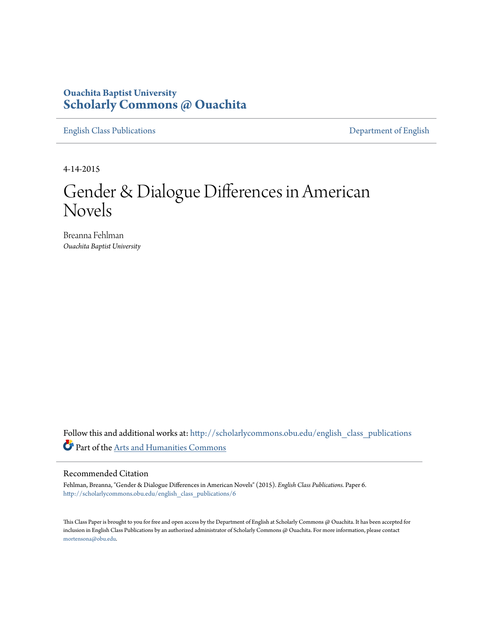# **Ouachita Baptist University [Scholarly Commons @ Ouachita](http://scholarlycommons.obu.edu?utm_source=scholarlycommons.obu.edu%2Fenglish_class_publications%2F6&utm_medium=PDF&utm_campaign=PDFCoverPages)**

[English Class Publications](http://scholarlycommons.obu.edu/english_class_publications?utm_source=scholarlycommons.obu.edu%2Fenglish_class_publications%2F6&utm_medium=PDF&utm_campaign=PDFCoverPages) [Department of English](http://scholarlycommons.obu.edu/english?utm_source=scholarlycommons.obu.edu%2Fenglish_class_publications%2F6&utm_medium=PDF&utm_campaign=PDFCoverPages)

4-14-2015

# Gender & Dialogue Differences in American Novels

Breanna Fehlman *Ouachita Baptist University*

Follow this and additional works at: [http://scholarlycommons.obu.edu/english\\_class\\_publications](http://scholarlycommons.obu.edu/english_class_publications?utm_source=scholarlycommons.obu.edu%2Fenglish_class_publications%2F6&utm_medium=PDF&utm_campaign=PDFCoverPages) Part of the [Arts and Humanities Commons](http://network.bepress.com/hgg/discipline/438?utm_source=scholarlycommons.obu.edu%2Fenglish_class_publications%2F6&utm_medium=PDF&utm_campaign=PDFCoverPages)

#### Recommended Citation

Fehlman, Breanna, "Gender & Dialogue Differences in American Novels" (2015). *English Class Publications.* Paper 6. [http://scholarlycommons.obu.edu/english\\_class\\_publications/6](http://scholarlycommons.obu.edu/english_class_publications/6?utm_source=scholarlycommons.obu.edu%2Fenglish_class_publications%2F6&utm_medium=PDF&utm_campaign=PDFCoverPages)

This Class Paper is brought to you for free and open access by the Department of English at Scholarly Commons @ Ouachita. It has been accepted for inclusion in English Class Publications by an authorized administrator of Scholarly Commons @ Ouachita. For more information, please contact [mortensona@obu.edu](mailto:mortensona@obu.edu).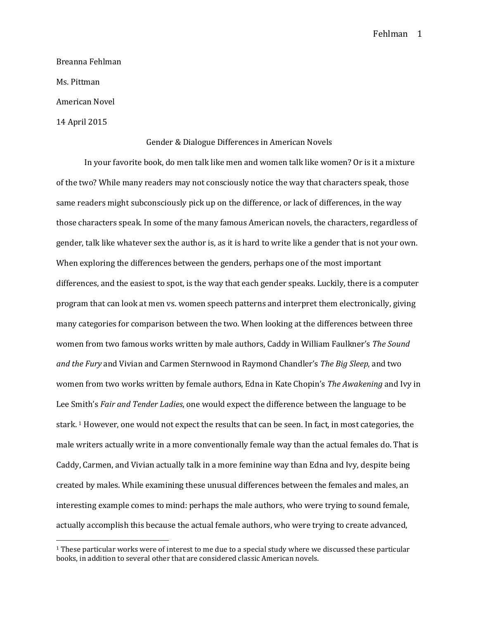Breanna Fehlman Ms. Pittman American Novel

14 April 2015

 $\overline{a}$ 

#### Gender & Dialogue Differences in American Novels

In your favorite book, do men talk like men and women talk like women? Or is it a mixture of the two? While many readers may not consciously notice the way that characters speak, those same readers might subconsciously pick up on the difference, or lack of differences, in the way those characters speak. In some of the many famous American novels, the characters, regardless of gender, talk like whatever sex the author is, as it is hard to write like a gender that is not your own. When exploring the differences between the genders, perhaps one of the most important differences, and the easiest to spot, is the way that each gender speaks. Luckily, there is a computer program that can look at men vs. women speech patterns and interpret them electronically, giving many categories for comparison between the two. When looking at the differences between three women from two famous works written by male authors, Caddy in William Faulkner's *The Sound and the Fury* and Vivian and Carmen Sternwood in Raymond Chandler's *The Big Sleep*, and two women from two works written by female authors, Edna in Kate Chopin's *The Awakening* and Ivy in Lee Smith's *Fair and Tender Ladies*, one would expect the difference between the language to be stark. <sup>1</sup> However, one would not expect the results that can be seen. In fact, in most categories, the male writers actually write in a more conventionally female way than the actual females do. That is Caddy, Carmen, and Vivian actually talk in a more feminine way than Edna and Ivy, despite being created by males. While examining these unusual differences between the females and males, an interesting example comes to mind: perhaps the male authors, who were trying to sound female, actually accomplish this because the actual female authors, who were trying to create advanced,

<sup>1</sup> These particular works were of interest to me due to a special study where we discussed these particular books, in addition to several other that are considered classic American novels.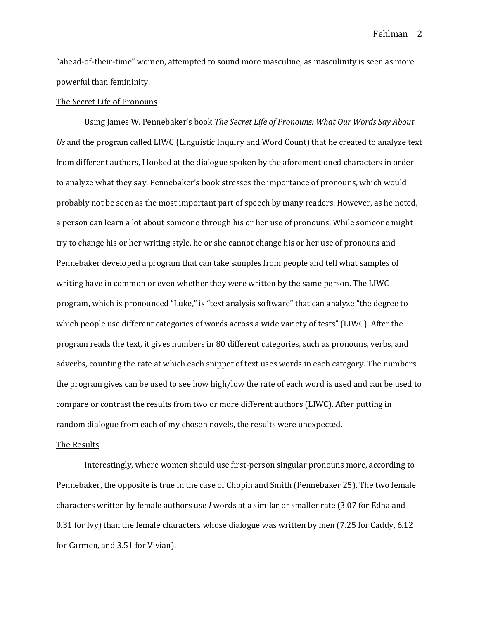"ahead-of-their-time" women, attempted to sound more masculine, as masculinity is seen as more powerful than femininity.

#### The Secret Life of Pronouns

Using James W. Pennebaker's book *The Secret Life of Pronouns: What Our Words Say About Us* and the program called LIWC (Linguistic Inquiry and Word Count) that he created to analyze text from different authors, I looked at the dialogue spoken by the aforementioned characters in order to analyze what they say. Pennebaker's book stresses the importance of pronouns, which would probably not be seen as the most important part of speech by many readers. However, as he noted, a person can learn a lot about someone through his or her use of pronouns. While someone might try to change his or her writing style, he or she cannot change his or her use of pronouns and Pennebaker developed a program that can take samples from people and tell what samples of writing have in common or even whether they were written by the same person. The LIWC program, which is pronounced "Luke," is "text analysis software" that can analyze "the degree to which people use different categories of words across a wide variety of tests" (LIWC). After the program reads the text, it gives numbers in 80 different categories, such as pronouns, verbs, and adverbs, counting the rate at which each snippet of text uses words in each category. The numbers the program gives can be used to see how high/low the rate of each word is used and can be used to compare or contrast the results from two or more different authors (LIWC). After putting in random dialogue from each of my chosen novels, the results were unexpected.

#### The Results

Interestingly, where women should use first-person singular pronouns more, according to Pennebaker, the opposite is true in the case of Chopin and Smith (Pennebaker 25). The two female characters written by female authors use *I* words at a similar or smaller rate (3.07 for Edna and 0.31 for Ivy) than the female characters whose dialogue was written by men (7.25 for Caddy, 6.12 for Carmen, and 3.51 for Vivian).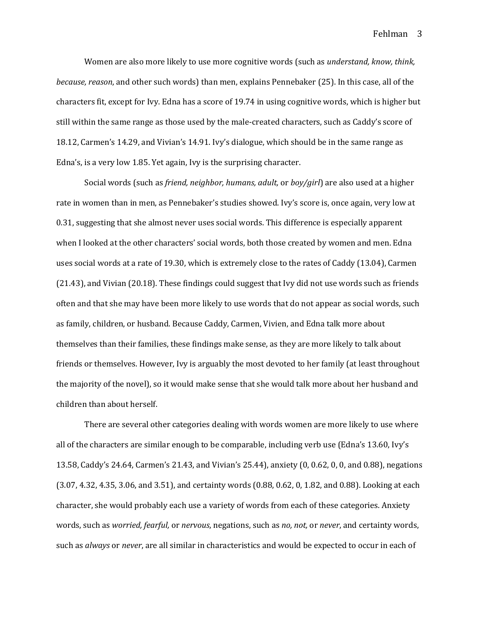Women are also more likely to use more cognitive words (such as *understand, know, think, because, reason*, and other such words) than men, explains Pennebaker (25). In this case, all of the characters fit, except for Ivy. Edna has a score of 19.74 in using cognitive words, which is higher but still within the same range as those used by the male-created characters, such as Caddy's score of 18.12, Carmen's 14.29, and Vivian's 14.91. Ivy's dialogue, which should be in the same range as Edna's, is a very low 1.85. Yet again, Ivy is the surprising character.

Social words (such as *friend, neighbor, humans, adult,* or *boy/girl*) are also used at a higher rate in women than in men, as Pennebaker's studies showed. Ivy's score is, once again, very low at 0.31, suggesting that she almost never uses social words. This difference is especially apparent when I looked at the other characters' social words, both those created by women and men. Edna uses social words at a rate of 19.30, which is extremely close to the rates of Caddy (13.04), Carmen (21.43), and Vivian (20.18). These findings could suggest that Ivy did not use words such as friends often and that she may have been more likely to use words that do not appear as social words, such as family, children, or husband. Because Caddy, Carmen, Vivien, and Edna talk more about themselves than their families, these findings make sense, as they are more likely to talk about friends or themselves. However, Ivy is arguably the most devoted to her family (at least throughout the majority of the novel), so it would make sense that she would talk more about her husband and children than about herself.

There are several other categories dealing with words women are more likely to use where all of the characters are similar enough to be comparable, including verb use (Edna's 13.60, Ivy's 13.58, Caddy's 24.64, Carmen's 21.43, and Vivian's 25.44), anxiety (0, 0.62, 0, 0, and 0.88), negations (3.07, 4.32, 4.35, 3.06, and 3.51), and certainty words (0.88, 0.62, 0, 1.82, and 0.88). Looking at each character, she would probably each use a variety of words from each of these categories. Anxiety words, such as *worried, fearful,* or *nervous*, negations, such as *no, not,* or *never*, and certainty words, such as *always* or *never*, are all similar in characteristics and would be expected to occur in each of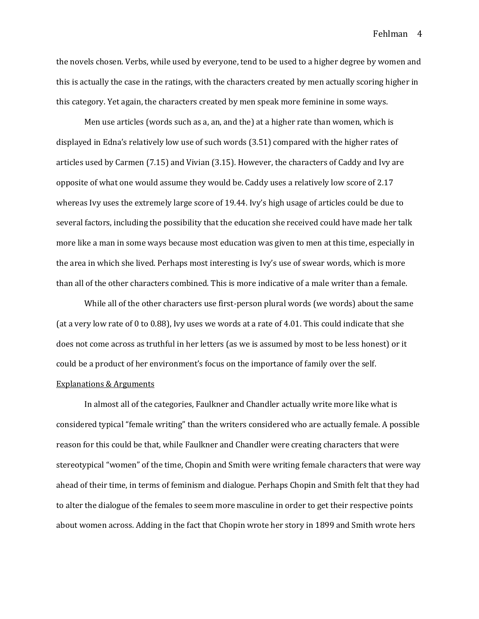the novels chosen. Verbs, while used by everyone, tend to be used to a higher degree by women and this is actually the case in the ratings, with the characters created by men actually scoring higher in this category. Yet again, the characters created by men speak more feminine in some ways.

Men use articles (words such as a, an, and the) at a higher rate than women, which is displayed in Edna's relatively low use of such words (3.51) compared with the higher rates of articles used by Carmen (7.15) and Vivian (3.15). However, the characters of Caddy and Ivy are opposite of what one would assume they would be. Caddy uses a relatively low score of 2.17 whereas Ivy uses the extremely large score of 19.44. Ivy's high usage of articles could be due to several factors, including the possibility that the education she received could have made her talk more like a man in some ways because most education was given to men at this time, especially in the area in which she lived. Perhaps most interesting is Ivy's use of swear words, which is more than all of the other characters combined. This is more indicative of a male writer than a female.

While all of the other characters use first-person plural words (we words) about the same (at a very low rate of 0 to 0.88), Ivy uses we words at a rate of 4.01. This could indicate that she does not come across as truthful in her letters (as we is assumed by most to be less honest) or it could be a product of her environment's focus on the importance of family over the self.

### Explanations & Arguments

In almost all of the categories, Faulkner and Chandler actually write more like what is considered typical "female writing" than the writers considered who are actually female. A possible reason for this could be that, while Faulkner and Chandler were creating characters that were stereotypical "women" of the time, Chopin and Smith were writing female characters that were way ahead of their time, in terms of feminism and dialogue. Perhaps Chopin and Smith felt that they had to alter the dialogue of the females to seem more masculine in order to get their respective points about women across. Adding in the fact that Chopin wrote her story in 1899 and Smith wrote hers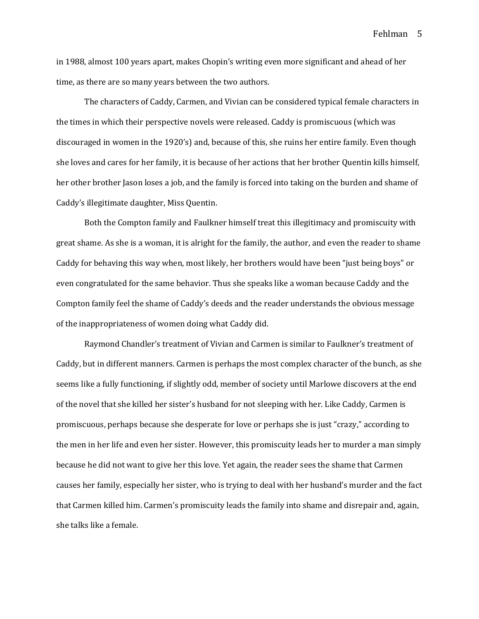in 1988, almost 100 years apart, makes Chopin's writing even more significant and ahead of her time, as there are so many years between the two authors.

The characters of Caddy, Carmen, and Vivian can be considered typical female characters in the times in which their perspective novels were released. Caddy is promiscuous (which was discouraged in women in the 1920's) and, because of this, she ruins her entire family. Even though she loves and cares for her family, it is because of her actions that her brother Quentin kills himself, her other brother Jason loses a job, and the family is forced into taking on the burden and shame of Caddy's illegitimate daughter, Miss Quentin.

Both the Compton family and Faulkner himself treat this illegitimacy and promiscuity with great shame. As she is a woman, it is alright for the family, the author, and even the reader to shame Caddy for behaving this way when, most likely, her brothers would have been "just being boys" or even congratulated for the same behavior. Thus she speaks like a woman because Caddy and the Compton family feel the shame of Caddy's deeds and the reader understands the obvious message of the inappropriateness of women doing what Caddy did.

Raymond Chandler's treatment of Vivian and Carmen is similar to Faulkner's treatment of Caddy, but in different manners. Carmen is perhaps the most complex character of the bunch, as she seems like a fully functioning, if slightly odd, member of society until Marlowe discovers at the end of the novel that she killed her sister's husband for not sleeping with her. Like Caddy, Carmen is promiscuous, perhaps because she desperate for love or perhaps she is just "crazy," according to the men in her life and even her sister. However, this promiscuity leads her to murder a man simply because he did not want to give her this love. Yet again, the reader sees the shame that Carmen causes her family, especially her sister, who is trying to deal with her husband's murder and the fact that Carmen killed him. Carmen's promiscuity leads the family into shame and disrepair and, again, she talks like a female.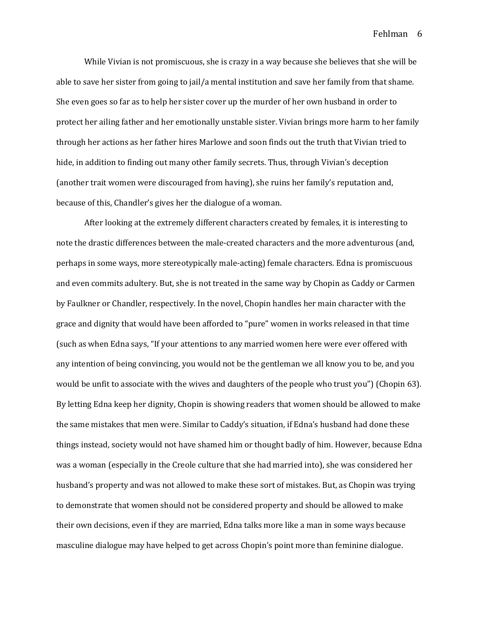While Vivian is not promiscuous, she is crazy in a way because she believes that she will be able to save her sister from going to jail/a mental institution and save her family from that shame. She even goes so far as to help her sister cover up the murder of her own husband in order to protect her ailing father and her emotionally unstable sister. Vivian brings more harm to her family through her actions as her father hires Marlowe and soon finds out the truth that Vivian tried to hide, in addition to finding out many other family secrets. Thus, through Vivian's deception (another trait women were discouraged from having), she ruins her family's reputation and, because of this, Chandler's gives her the dialogue of a woman.

After looking at the extremely different characters created by females, it is interesting to note the drastic differences between the male-created characters and the more adventurous (and, perhaps in some ways, more stereotypically male-acting) female characters. Edna is promiscuous and even commits adultery. But, she is not treated in the same way by Chopin as Caddy or Carmen by Faulkner or Chandler, respectively. In the novel, Chopin handles her main character with the grace and dignity that would have been afforded to "pure" women in works released in that time (such as when Edna says, "If your attentions to any married women here were ever offered with any intention of being convincing, you would not be the gentleman we all know you to be, and you would be unfit to associate with the wives and daughters of the people who trust you") (Chopin 63). By letting Edna keep her dignity, Chopin is showing readers that women should be allowed to make the same mistakes that men were. Similar to Caddy's situation, if Edna's husband had done these things instead, society would not have shamed him or thought badly of him. However, because Edna was a woman (especially in the Creole culture that she had married into), she was considered her husband's property and was not allowed to make these sort of mistakes. But, as Chopin was trying to demonstrate that women should not be considered property and should be allowed to make their own decisions, even if they are married, Edna talks more like a man in some ways because masculine dialogue may have helped to get across Chopin's point more than feminine dialogue.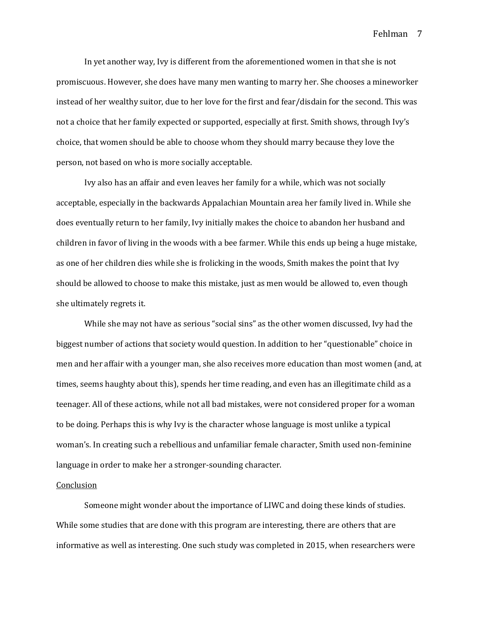In yet another way, Ivy is different from the aforementioned women in that she is not promiscuous. However, she does have many men wanting to marry her. She chooses a mineworker instead of her wealthy suitor, due to her love for the first and fear/disdain for the second. This was not a choice that her family expected or supported, especially at first. Smith shows, through Ivy's choice, that women should be able to choose whom they should marry because they love the person, not based on who is more socially acceptable.

Ivy also has an affair and even leaves her family for a while, which was not socially acceptable, especially in the backwards Appalachian Mountain area her family lived in. While she does eventually return to her family, Ivy initially makes the choice to abandon her husband and children in favor of living in the woods with a bee farmer. While this ends up being a huge mistake, as one of her children dies while she is frolicking in the woods, Smith makes the point that Ivy should be allowed to choose to make this mistake, just as men would be allowed to, even though she ultimately regrets it.

While she may not have as serious "social sins" as the other women discussed, Ivy had the biggest number of actions that society would question. In addition to her "questionable" choice in men and her affair with a younger man, she also receives more education than most women (and, at times, seems haughty about this), spends her time reading, and even has an illegitimate child as a teenager. All of these actions, while not all bad mistakes, were not considered proper for a woman to be doing. Perhaps this is why Ivy is the character whose language is most unlike a typical woman's. In creating such a rebellious and unfamiliar female character, Smith used non-feminine language in order to make her a stronger-sounding character.

#### Conclusion

Someone might wonder about the importance of LIWC and doing these kinds of studies. While some studies that are done with this program are interesting, there are others that are informative as well as interesting. One such study was completed in 2015, when researchers were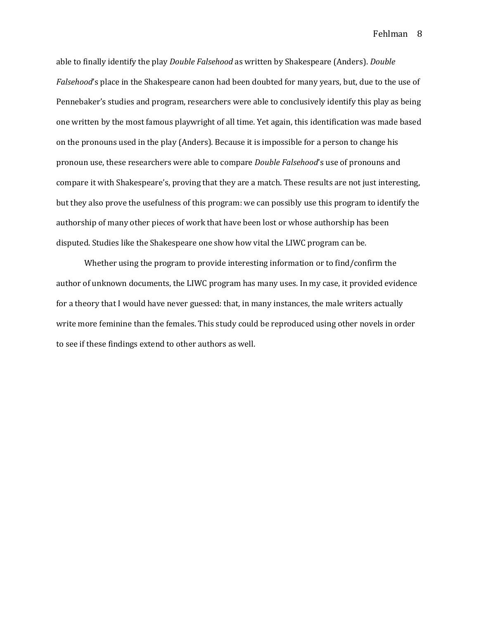able to finally identify the play *Double Falsehood* as written by Shakespeare (Anders). *Double Falsehood*'s place in the Shakespeare canon had been doubted for many years, but, due to the use of Pennebaker's studies and program, researchers were able to conclusively identify this play as being one written by the most famous playwright of all time. Yet again, this identification was made based on the pronouns used in the play (Anders). Because it is impossible for a person to change his pronoun use, these researchers were able to compare *Double Falsehood*'s use of pronouns and compare it with Shakespeare's, proving that they are a match. These results are not just interesting, but they also prove the usefulness of this program: we can possibly use this program to identify the authorship of many other pieces of work that have been lost or whose authorship has been disputed. Studies like the Shakespeare one show how vital the LIWC program can be.

Whether using the program to provide interesting information or to find/confirm the author of unknown documents, the LIWC program has many uses. In my case, it provided evidence for a theory that I would have never guessed: that, in many instances, the male writers actually write more feminine than the females. This study could be reproduced using other novels in order to see if these findings extend to other authors as well.